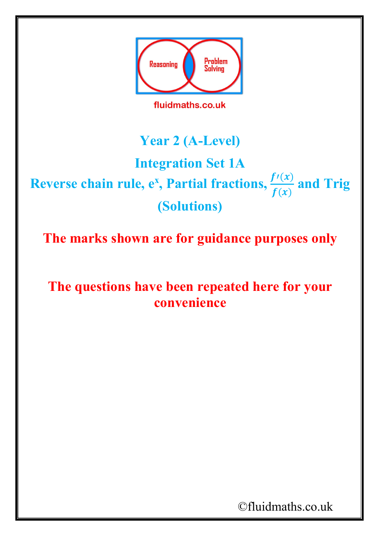

### **Year 2 (A-Level)**

# **Integration Set 1A**

## **Reverse chain rule, e<sup>x</sup>, Partial fractions,**  $\frac{f'(x)}{f(x)}$  **and Trig (Solutions)**

**The marks shown are for guidance purposes only**

**The questions have been repeated here for your convenience**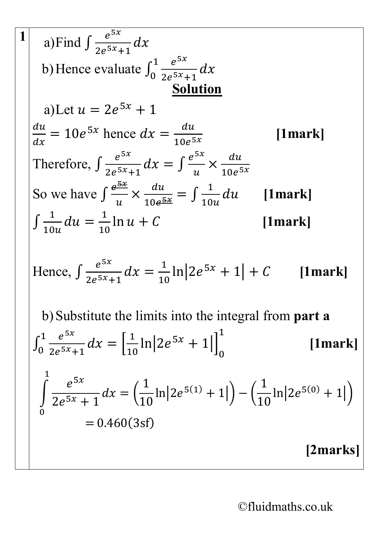1  
\na)Find 
$$
\int \frac{e^{5x}}{2e^{5x}+1} dx
$$
  
\nb) Hence evaluate  $\int_0^1 \frac{e^{5x}}{2e^{5x}+1} dx$   
\n2  
\na)Let  $u = 2e^{5x} + 1$   
\n $\frac{du}{dx} = 10e^{5x}$  hence  $dx = \frac{du}{10e^{5x}}$  [1mark]  
\nTherefore,  $\int \frac{e^{5x}}{2e^{5x}+1} dx = \int \frac{e^{5x}}{u} \times \frac{du}{10e^{5x}}$   
\nSo we have  $\int \frac{e^{5x}}{u} \times \frac{du}{10e^{5x}} = \int \frac{1}{10u} du$  [1mark]  
\n $\int \frac{1}{10u} du = \frac{1}{10} \ln u + C$  [1mark]  
\nHence,  $\int \frac{e^{5x}}{2e^{5x}+1} dx = \frac{1}{10} \ln |2e^{5x} + 1| + C$  [1mark]  
\nb) Substitute the limits into the integral from part a  
\n $\int_0^1 \frac{e^{5x}}{2e^{5x}+1} dx = [\frac{1}{10} \ln |2e^{5x} + 1|]_0^1$  [1mark]  
\n $\int_0^1 \frac{e^{5x}}{2e^{5x}+1} dx = (\frac{1}{10} \ln |2e^{5(1)} + 1|) - (\frac{1}{10} \ln |2e^{5(0)} + 1|)$   
\n= 0.460(3sf)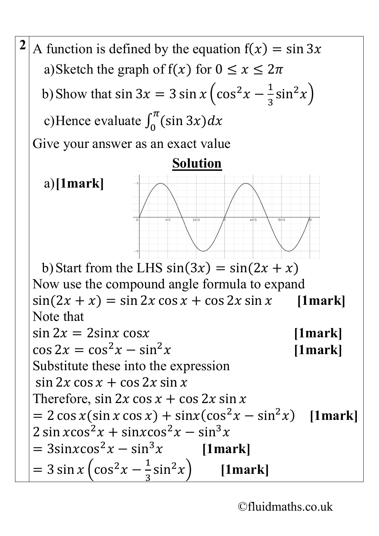<sup>2</sup> A function is defined by the equation  $f(x) = \sin 3x$ a)Sketch the graph of  $f(x)$  for  $0 \le x \le 2\pi$ b) Show that sin 3 $x = 3 \sin x \left(\cos^2 x - \frac{1}{3}\right)$ 3  $\sin^2 x$ ) c)Hence evaluate  $\int_0^{\pi} (\sin 3x) dx$ Give your answer as an exact value

#### **Solution**

a)**[1mark]**

b) Start from the LHS  $sin(3x) = sin(2x + x)$ Now use the compound angle formula to expand  $\sin(2x + x) = \sin 2x \cos x + \cos 2x \sin x$  [1mark] Note that  $\sin 2x = 2\sin x \cos x$  [1mark]<br> $\cos 2x = \cos^2 x - \sin^2 x$  [1mark]  $\cos 2x = \cos^2 x - \sin^2 x$ Substitute these into the expression  $\sin 2x \cos x + \cos 2x \sin x$ Therefore, sin  $2x \cos x + \cos 2x \sin x$  $= 2 \cos x (\sin x \cos x) + \sin x (\cos^2 x - \sin^2 x)$  [1mark]  $2 \sin x \cos^2 x + \sin x \cos^2 x - \sin^3 x$ <br>=  $3 \sin x \cos^2 x - \sin^3 x$  [1mark]  $= 3\sin x \cos^2 x - \sin^3 x$  $= 3 \sin x \left(\cos^2 x - \frac{1}{3}\right)$ 3  $\sin^2 x$  **[1mark]**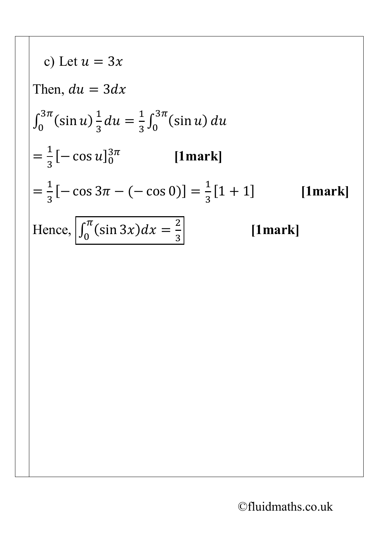c) Let 
$$
u = 3x
$$
  
\nThen,  $du = 3dx$   
\n
$$
\int_0^{3\pi} (\sin u) \frac{1}{3} du = \frac{1}{3} \int_0^{3\pi} (\sin u) du
$$
\n
$$
= \frac{1}{3} [-\cos u]_0^{3\pi} \qquad \text{[1mark]}
$$
\n
$$
= \frac{1}{3} [-\cos 3\pi - (-\cos 0)] = \frac{1}{3} [1 + 1] \qquad \text{[1mark]}
$$
\nHence, 
$$
\int_0^{\pi} (\sin 3x) dx = \frac{2}{3} \qquad \text{[1mark]}
$$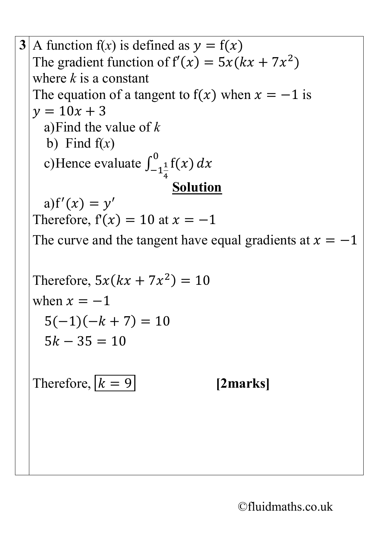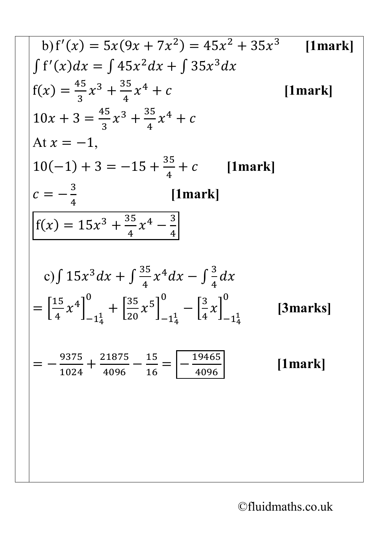b) 
$$
f'(x) = 5x(9x + 7x^2) = 45x^2 + 35x^3
$$
 [1mark]  
\n $\int f'(x)dx = \int 45x^2 dx + \int 35x^3 dx$   
\n $f(x) = \frac{45}{3}x^3 + \frac{35}{4}x^4 + c$  [1mark]  
\n $10x + 3 = \frac{45}{3}x^3 + \frac{35}{4}x^4 + c$  [1mark]  
\nAt  $x = -1$ ,  
\n $10(-1) + 3 = -15 + \frac{35}{4} + c$  [1mark]  
\n $c = -\frac{3}{4}$  [1mark]  
\n $f(x) = 15x^3 + \frac{35}{4}x^4 - \frac{3}{4}$   
\nc)  $\int 15x^3 dx + \int \frac{35}{4}x^4 dx - \int \frac{3}{4} dx$   
\n $= [\frac{15}{4}x^4]_{-1\frac{1}{4}}^0 + [\frac{35}{20}x^5]_{-1\frac{1}{4}}^0 - [\frac{3}{4}x]_{-1\frac{1}{4}}^0$  [3marks]  
\n $= -\frac{9375}{1024} + \frac{21875}{4096} - \frac{15}{16} = -\frac{19465}{4096}$  [1mark]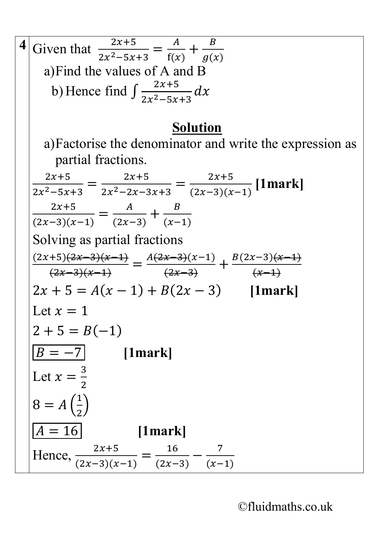| Given that $\frac{2x+5}{2x^2-5x+3} = \frac{A}{f(x)} + \frac{B}{g(x)}$                              |
|----------------------------------------------------------------------------------------------------|
| a) Find the values of A and B                                                                      |
| b) Hence find $\int \frac{2x+5}{2x^2-5x+3} dx$                                                     |
| <b>Solution</b>                                                                                    |
| a) Factorise the denominator and write the expression as<br>partial fractions.                     |
|                                                                                                    |
| $\frac{2x+5}{2x^2-5x+3} = \frac{2x+5}{2x^2-2x-3x+3} = \frac{2x+5}{(2x-3)(x-1)}$ [1mark]            |
| $\frac{2x+5}{(2x-3)(x-1)} = \frac{A}{(2x-3)} + \frac{B}{(x-1)}$                                    |
|                                                                                                    |
| Solving as partial fractions                                                                       |
|                                                                                                    |
| $\frac{(2x+5)(2x-3)(x-1)}{(2x-3)(x-1)} = \frac{A(2x-3)(x-1)}{(2x-3)} + \frac{B(2x-3)(x-1)}{(x-1)}$ |
| $2x + 5 = A(x - 1) + B(2x - 3)$ [1mark]                                                            |
| Let $x=1$                                                                                          |
| $2 + 5 = B(-1)$                                                                                    |
| $B = -7$ [1mark]                                                                                   |
| Let $x=\frac{3}{2}$                                                                                |
| $8 = A\left(\frac{1}{2}\right)$                                                                    |
| $A = 16$<br>$[1$ mark]                                                                             |
| Hence, $\frac{2x+5}{(2x-3)(x-1)} = \frac{16}{(2x-3)} - \frac{7}{(x-1)}$                            |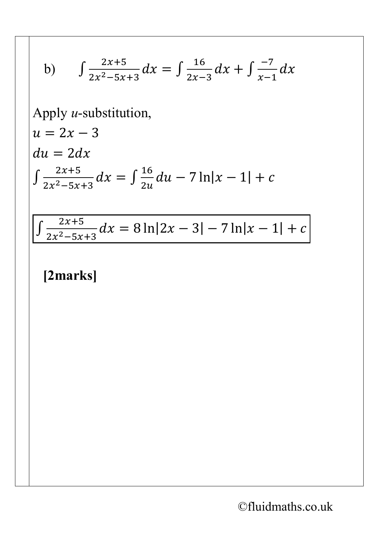b) 
$$
\int \frac{2x+5}{2x^2-5x+3} dx = \int \frac{16}{2x-3} dx + \int \frac{-7}{x-1} dx
$$
  
Apply *u*-substitution,  
 $u = 2x - 3$   
 $du = 2dx$   

$$
\int \frac{2x+5}{2x^2-5x+3} dx = \int \frac{16}{2u} du - 7 \ln|x - 1| + c
$$

 $\int \frac{2x+5}{2x^2-5x+3} dx = 8 \ln|2x-3| - 7 \ln|x-1| + c$ 

#### [2marks]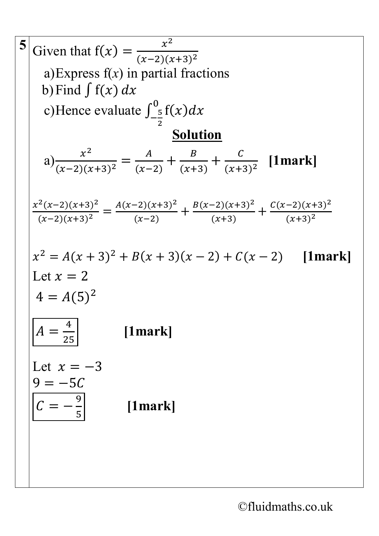5 Given that 
$$
f(x) = \frac{x^2}{(x-2)(x+3)^2}
$$
  
\na)Express  $f(x)$  in partial fractions  
\nb) Find  $\int f(x) dx$   
\nc) Hence evaluate  $\int_{-\frac{5}{2}}^0 f(x) dx$   
\n**Solution**  
\na)  $\frac{x^2}{(x-2)(x+3)^2} = \frac{A}{(x-2)} + \frac{B}{(x+3)} + \frac{C}{(x+3)^2}$  [1mark]  
\n $\frac{x^2(x-2)(x+3)^2}{(x-2)(x+3)^2} = \frac{A(x-2)(x+3)^2}{(x-2)} + \frac{B(x-2)(x+3)^2}{(x+3)} + \frac{C(x-2)(x+3)^2}{(x+3)^2}$   
\n $x^2 = A(x+3)^2 + B(x+3)(x-2) + C(x-2)$  [1mark]  
\nLet  $x = 2$   
\n $4 = A(5)^2$   
\n $A = \frac{4}{25}$  [1mark]  
\nLet  $x = -3$   
\n $9 = -5C$   
\n $C = -\frac{9}{5}$  [1mark]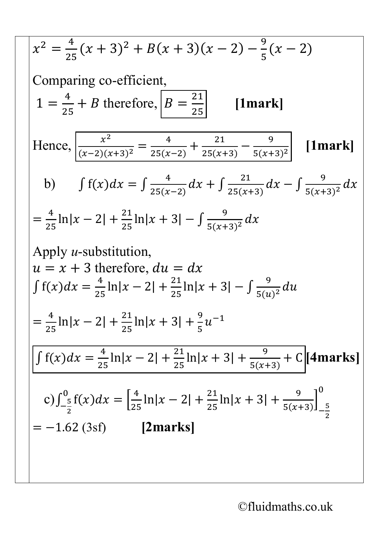$$
x^{2} = \frac{4}{25}(x+3)^{2} + B(x+3)(x-2) - \frac{9}{5}(x-2)
$$
  
Comparing co-efficient,  

$$
1 = \frac{4}{25} + B \text{ therefore, } B = \frac{21}{25} \qquad \text{[1mark]}
$$
  
Hence,  

$$
\frac{x^{2}}{(x-2)(x+3)^{2}} = \frac{4}{25(x-2)} + \frac{21}{25(x+3)} - \frac{9}{5(x+3)^{2}} \qquad \text{[1mark]}
$$
  
b) 
$$
\int f(x)dx = \int \frac{4}{25(x-2)}dx + \int \frac{21}{25(x+3)}dx - \int \frac{9}{5(x+3)^{2}}dx
$$
  

$$
= \frac{4}{25} \ln|x-2| + \frac{21}{25} \ln|x+3| - \int \frac{9}{5(x+3)^{2}}dx
$$
  
Apply *u*-substitution,  

$$
u = x + 3 \text{ therefore, } du = dx
$$
  

$$
\int f(x)dx = \frac{4}{25} \ln|x-2| + \frac{21}{25} \ln|x+3| - \int \frac{9}{5(u)^{2}}du
$$
  

$$
= \frac{4}{25} \ln|x-2| + \frac{21}{25} \ln|x+3| + \frac{9}{5}u^{-1}
$$
  

$$
\int f(x)dx = \frac{4}{25} \ln|x-2| + \frac{21}{25} \ln|x+3| + \frac{9}{5(x+3)} + C \text{[4marks]}
$$
  
c) 
$$
\int_{-\frac{5}{2}}^{0} f(x)dx = \left[\frac{4}{25} \ln|x-2| + \frac{21}{25} \ln|x+3| + \frac{9}{5(x+3)}\right]_{-\frac{5}{2}}^{0}
$$
  

$$
= -1.62 \text{ (3st)}
$$
 [2marks]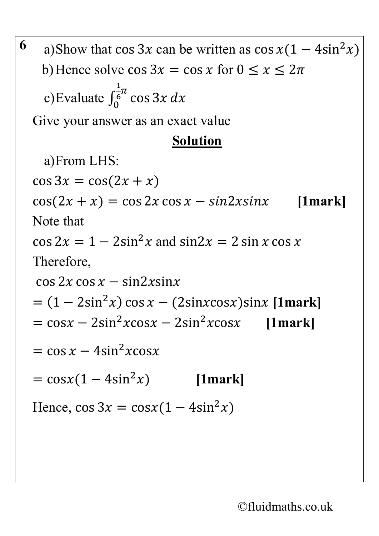| 6 | a)Show that cos 3x can be written as $\cos x(1 - 4\sin^2 x)$         |
|---|----------------------------------------------------------------------|
|   | b) Hence solve $\cos 3x = \cos x$ for $0 \le x \le 2\pi$             |
|   | c)Evaluate $\int_0^{\frac{1}{6}\pi} \cos 3x \, dx$                   |
|   | Give your answer as an exact value                                   |
|   | <b>Solution</b>                                                      |
|   | a)From LHS:                                                          |
|   | $\cos 3x = \cos(2x + x)$                                             |
|   | $cos(2x + x) = cos 2x cos x - sin 2x sin x$<br>$[1$ mark]            |
|   | Note that                                                            |
|   | $\cos 2x = 1 - 2\sin^2 x$ and $\sin 2x = 2\sin x \cos x$             |
|   | Therefore,                                                           |
|   | $\cos 2x \cos x - \sin 2x \sin x$                                    |
|   | $= (1 - 2\sin^2 x) \cos x - (2\sin x \cos x) \sin x$ [1mark]         |
|   | $=$ cosx – 2sin <sup>2</sup> xcosx – 2sin <sup>2</sup> xcosx [1mark] |
|   | $=$ cos x – 4sin <sup>2</sup> xcosx                                  |
|   | $= cosx(1-4sin^2x)$ [1mark]                                          |
|   | Hence, $\cos 3x = \cos x (1 - 4\sin^2 x)$                            |
|   |                                                                      |
|   |                                                                      |
|   |                                                                      |